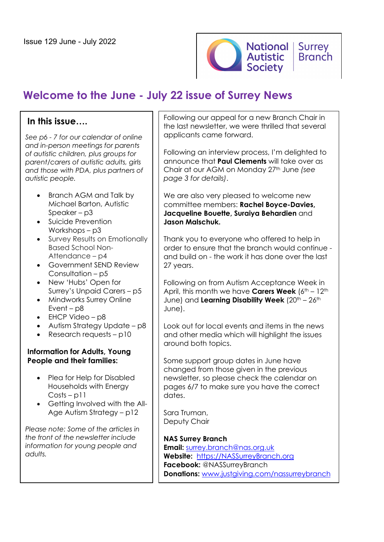

# **Welcome to the June - July 22 issue of Surrey News**

# **In this issue….**

*See p6 - 7 for our calendar of online and in-person meetings for parents of autistic children, plus groups for parent/carers of autistic adults, girls and those with PDA, plus partners of autistic people.*

- Branch AGM and Talk by Michael Barton, Autistic Speaker – p3
- Suicide Prevention Workshops – p3
- Survey Results on Emotionally Based School Non-Attendance – p4
- Government SEND Review Consultation – p5
- New 'Hubs' Open for Surrey's Unpaid Carers – p5
- Mindworks Surrey Online Event – p8
- EHCP Video p8
- Autism Strategy Update p8
- Research requests p10

### **Information for Adults, Young People and their families:**

- Plea for Help for Disabled Households with Energy Costs – p11
- Getting Involved with the All-Age Autism Strategy – p12

*Please note: Some of the articles in the front of the newsletter include information for young people and adults.*

Following our appeal for a new Branch Chair in the last newsletter, we were thrilled that several applicants came forward.

Following an interview process, I'm delighted to announce that **Paul Clements** will take over as Chair at our AGM on Monday 27th June *(see page 3 for details)*.

We are also very pleased to welcome new committee members: **Rachel Boyce-Davies, Jacqueline Bouette, Suraiya Behardien** and **Jason Malschuk.**

Thank you to everyone who offered to help in order to ensure that the branch would continue and build on - the work it has done over the last 27 years.

Following on from Autism Acceptance Week in April, this month we have **Carers Week** (6<sup>th</sup> – 12<sup>th</sup> June) and **Learning Disability Week** (20<sup>th</sup> – 26<sup>th</sup>) June).

Look out for local events and items in the news and other media which will highlight the issues around both topics.

Some support group dates in June have changed from those given in the previous newsletter, so please check the calendar on pages 6/7 to make sure you have the correct dates.

Sara Truman, Deputy Chair

### **NAS Surrey Branch**

**Email:** surrey.branch@nas.org.uk **Website:** https://NASSurreyBranch.org **Facebook:** @NASSurreyBranch **Donations:** www.justgiving.com/nassurreybranch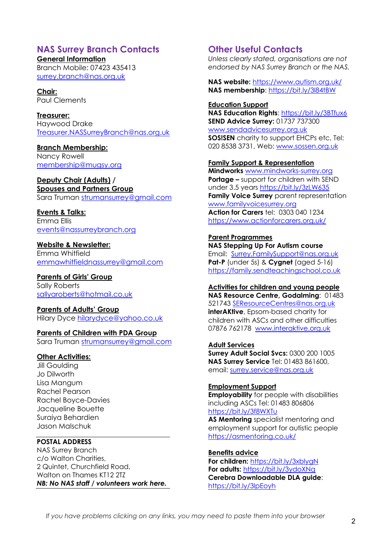### **NAS Surrey Branch Contacts**

**General Information**

Branch Mobile: 07423 435413 surrey.branch@nas.org.uk

**Chair:** Paul Clements

**Treasurer:**  Haywood Drake Treasurer.NASSurreyBranch@nas.org.uk

**Branch Membership:**

Nancy Rowell membership@mugsy.org

### **Deputy Chair (Adults) /**

**Spouses and Partners Group** Sara Truman strumansurrey@gmail.com

**Events & Talks:**

Emma Ellis events@nassurreybranch.org

**Website & Newsletter:**

Emma Whitfield emmawhitfieldnassurrey@gmail.com

**Parents of Girls' Group**

Sally Roberts sallyaroberts@hotmail.co.uk

**Parents of Adults' Group**

Hilary Dyce hilarydyce@yahoo.co.uk

### **Parents of Children with PDA Group**

Sara Truman strumansurrey@gmail.com

### **Other Activities:**

Jill Goulding Jo Dilworth Lisa Mangum Rachel Pearson Rachel Boyce-Davies Jacqueline Bouette Suraiya Behardien Jason Malschuk

### **POSTAL ADDRESS**

NAS Surrey Branch c/o Walton Charities, 2 Quintet, Churchfield Road, Walton on Thames KT12 2TZ *NB: No NAS staff / volunteers work here.* 

# **Other Useful Contacts**

*Unless clearly stated, organisations are not endorsed by NAS Surrey Branch or the NAS.*

**NAS website:** https://www.autism.org.uk/ **NAS membership**: https://bit.ly/3l84tBW

**Education Support**

**NAS Education Rights**: https://bit.ly/3BTfux6 **SEND Advice Surrey:** 01737 737300 www.sendadvicesurrey.org.uk **SOS!SEN** charity to support EHCPs etc, Tel: 020 8538 3731, Web: www.sossen.org.uk

### **Family Support & Representation**

**Mindworks** www.mindworks-surrey.org **Portage –** support for children with SEND under 3.5 years https://bit.ly/3zLW635 **Family Voice Surrey** parent representation www.familyvoicesurrey.org **Action for Carers** tel: 0303 040 1234 https://www.actionforcarers.org.uk/

### **Parent Programmes**

**NAS Stepping Up For Autism course** Email: Surrey.FamilySupport@nas.org.uk **Pat-P** (under 5s) & **Cygnet** (aged 5-16) https://family.sendteachingschool.co.uk

**Activities for children and young people**

**NAS Resource Centre, Godalming**: 01483 521743 SEResourceCentres@nas.org.uk **interAKtive**, Epsom-based charity for children with ASCs and other difficulties 07876 762178 www.interaktive.org.uk

**Adult Services Surrey Adult Social Svcs:** 0300 200 1005 **NAS Surrey Service** Tel: 01483 861600, email: surrey.service@nas.org.uk

**Employment Support**

**Employability** for people with disabilities including ASCs Tel: 01483 806806 https://bit.ly/3f8WXTu

**AS Mentoring** specialist mentoring and employment support for autistic people https://asmentoring.co.uk/

#### **Benefits advice**

**For children:** https://bit.ly/3xblygN **For adults:** https://bit.ly/3ydoXNq **Cerebra Downloadable DLA guide**: https://bit.ly/3lpEoyh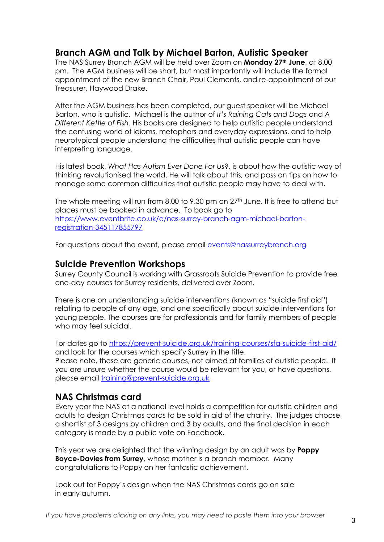# **Branch AGM and Talk by Michael Barton, Autistic Speaker**

The NAS Surrey Branch AGM will be held over Zoom on **Monday 27th June**, at 8.00 pm. The AGM business will be short, but most importantly will include the formal appointment of the new Branch Chair, Paul Clements, and re-appointment of our Treasurer, Haywood Drake.

After the AGM business has been completed, our guest speaker will be Michael Barton, who is autistic. Michael is the author of *It's Raining Cats and Dogs* and *A Different Kettle of Fish*. His books are designed to help autistic people understand the confusing world of idioms, metaphors and everyday expressions, and to help neurotypical people understand the difficulties that autistic people can have interpreting language.

His latest book, *What Has Autism Ever Done For Us*?, is about how the autistic way of thinking revolutionised the world. He will talk about this, and pass on tips on how to manage some common difficulties that autistic people may have to deal with.

The whole meeting will run from 8.00 to 9.30 pm on  $27<sup>th</sup>$  June. It is free to attend but places must be booked in advance. To book go to https://www.eventbrite.co.uk/e/nas-surrey-branch-agm-michael-bartonregistration-345117855797

For questions about the event, please email events@nassurreybranch.org

### **Suicide Prevention Workshops**

Surrey County Council is working with Grassroots Suicide Prevention to provide free one-day courses for Surrey residents, delivered over Zoom.

There is one on understanding suicide interventions (known as "suicide first aid") relating to people of any age, and one specifically about suicide interventions for young people. The courses are for professionals and for family members of people who may feel suicidal.

For dates go to https://prevent-suicide.org.uk/training-courses/sfa-suicide-first-aid/ and look for the courses which specify Surrey in the title. Please note, these are generic courses, not aimed at families of autistic people. If

you are unsure whether the course would be relevant for you, or have questions, please email training@prevent-suicide.org.uk

# **NAS Christmas card**

Every year the NAS at a national level holds a competition for autistic children and adults to design Christmas cards to be sold in aid of the charity. The judges choose a shortlist of 3 designs by children and 3 by adults, and the final decision in each category is made by a public vote on Facebook.

This year we are delighted that the winning design by an adult was by **Poppy Boyce-Davies from Surrey**, whose mother is a branch member. Many congratulations to Poppy on her fantastic achievement.

Look out for Poppy's design when the NAS Christmas cards go on sale in early autumn.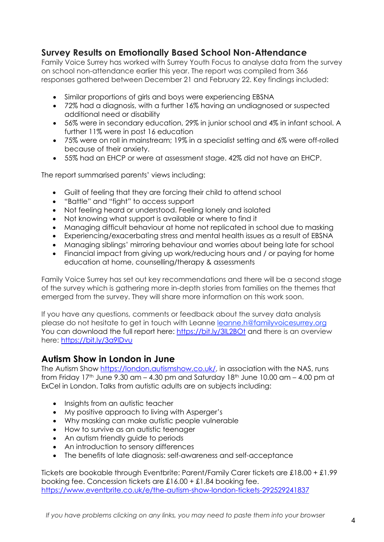# **Survey Results on Emotionally Based School Non-Attendance**

Family Voice Surrey has worked with Surrey Youth Focus to analyse data from the survey on school non-attendance earlier this year. The report was compiled from 366 responses gathered between December 21 and February 22. Key findings included:

- Similar proportions of girls and boys were experiencing EBSNA
- 72% had a diagnosis, with a further 16% having an undiagnosed or suspected additional need or disability
- 56% were in secondary education, 29% in junior school and 4% in infant school. A further 11% were in post 16 education
- 75% were on roll in mainstream; 19% in a specialist setting and 6% were off-rolled because of their anxiety.
- 55% had an EHCP or were at assessment stage. 42% did not have an EHCP.

The report summarised parents' views including:

- Guilt of feeling that they are forcing their child to attend school
- "Battle" and "fight" to access support
- Not feeling heard or understood. Feeling lonely and isolated
- Not knowing what support is available or where to find it
- Managing difficult behaviour at home not replicated in school due to masking
- Experiencing/exacerbating stress and mental health issues as a result of EBSNA
- Managing siblings' mirroring behaviour and worries about being late for school
- Financial impact from giving up work/reducing hours and / or paying for home education at home, counselling/therapy & assessments

Family Voice Surrey has set out key recommendations and there will be a second stage of the survey which is gathering more in-depth stories from families on the themes that emerged from the survey. They will share more information on this work soon.

If you have any questions, comments or feedback about the survey data analysis please do not hesitate to get in touch with Leanne leanne.h@familyvoicesurrey.org You can download the full report here: https://bit.ly/3lL2BOt and there is an overview here: https://bit.ly/3a9lDvu

# **Autism Show in London in June**

The Autism Show https://london.autismshow.co.uk/, in association with the NAS, runs from Friday  $17<sup>th</sup>$  June 9.30 am – 4.30 pm and Saturday  $18<sup>th</sup>$  June  $10.00$  am – 4.00 pm at ExCel in London. Talks from autistic adults are on subjects including:

- Insights from an autistic teacher
- My positive approach to living with Asperger's
- Why masking can make autistic people vulnerable
- How to survive as an autistic teenager
- An autism friendly guide to periods
- An introduction to sensory differences
- The benefits of late diagnosis: self-awareness and self-acceptance

Tickets are bookable through Eventbrite: Parent/Family Carer tickets are £18.00 + £1.99 booking fee. Concession tickets are £16.00 + £1.84 booking fee. https://www.eventbrite.co.uk/e/the-autism-show-london-tickets-292529241837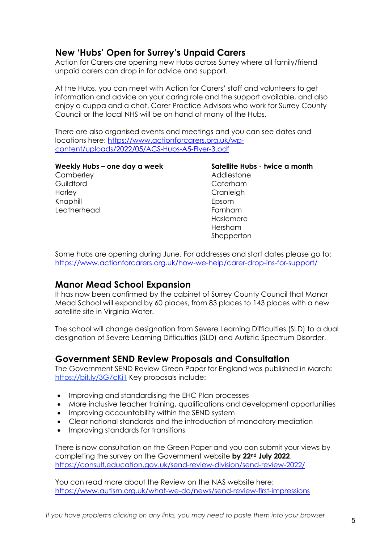# **New 'Hubs' Open for Surrey's Unpaid Carers**

Action for Carers are opening new Hubs across Surrey where all family/friend unpaid carers can drop in for advice and support.

At the Hubs, you can meet with Action for Carers' staff and volunteers to get information and advice on your caring role and the support available, and also enjoy a cuppa and a chat. Carer Practice Advisors who work for Surrey County Council or the local NHS will be on hand at many of the Hubs.

There are also organised events and meetings and you can see dates and locations here: https://www.actionforcarers.org.uk/wpcontent/uploads/2022/05/ACS-Hubs-A5-Flyer-3.pdf

**Weekly Hubs – one day a week Camberley Guildford Horley** Knaphill Leatherhead

**Satellite Hubs - twice a month** Addlestone Caterham **Cranleigh** Epsom Farnham Haslemere Hersham **Shepperton** 

Some hubs are opening during June. For addresses and start dates please go to: https://www.actionforcarers.org.uk/how-we-help/carer-drop-ins-for-support/

### **Manor Mead School Expansion**

It has now been confirmed by the cabinet of Surrey County Council that Manor Mead School will expand by 60 places, from 83 places to 143 places with a new satellite site in Virginia Water.

The school will change designation from Severe Learning Difficulties (SLD) to a dual designation of Severe Learning Difficulties (SLD) and Autistic Spectrum Disorder.

# **Government SEND Review Proposals and Consultation**

The Government SEND Review Green Paper for England was published in March: https://bit.ly/3G7cKi1 Key proposals include:

- Improving and standardising the EHC Plan processes
- More inclusive teacher training, qualifications and development opportunities
- Improving accountability within the SEND system
- Clear national standards and the introduction of mandatory mediation
- Improving standards for transitions

There is now consultation on the Green Paper and you can submit your views by completing the survey on the Government website **by 22nd July 2022**. https://consult.education.gov.uk/send-review-division/send-review-2022/

You can read more about the Review on the NAS website here: https://www.autism.org.uk/what-we-do/news/send-review-first-impressions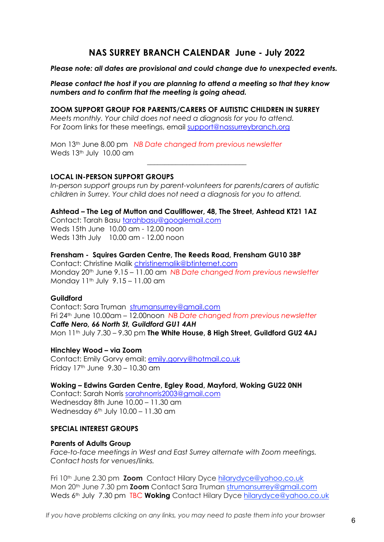### **NAS SURREY BRANCH CALENDAR June - July 2022**

*Please note: all dates are provisional and could change due to unexpected events.*

*Please contact the host if you are planning to attend a meeting so that they know numbers and to confirm that the meeting is going ahead.* 

**ZOOM SUPPORT GROUP FOR PARENTS/CARERS OF AUTISTIC CHILDREN IN SURREY** *Meets monthly. Your child does not need a diagnosis for you to attend.* For Zoom links for these meetings, email support@nassurreybranch.org

Mon 13th June 8.00 pm *NB Date changed from previous newsletter* Weds 13<sup>th</sup> July 10.00 am

### **LOCAL IN-PERSON SUPPORT GROUPS**

*In-person support groups run by parent-volunteers for parents/carers of autistic children in Surrey. Your child does not need a diagnosis for you to attend.*

\_\_\_\_\_\_\_\_\_\_\_\_\_\_\_\_\_\_\_\_\_\_\_\_\_\_\_\_

**Ashtead – The Leg of Mutton and Cauliflower, 48, The Street, Ashtead KT21 1AZ** 

Contact: Tarah Basu tarahbasu@googlemail.com Weds 15th June 10.00 am - 12.00 noon Weds 13th July 10.00 am - 12.00 noon

### **Frensham - Squires Garden Centre, The Reeds Road, Frensham GU10 3BP**

Contact: Christine Malik christinemalik@btinternet.com Monday 20th June 9.15 – 11.00 am *NB Date changed from previous newsletter* Monday  $11^{th}$  July  $9.15 - 11.00$  am

#### **Guildford**

Contact: Sara Truman strumansurrey@gmail.com Fri 24th June 10.00am – 12.00noon *NB Date changed from previous newsletter Caffe Nero, 66 North St, Guildford GU1 4AH*  Mon 11<sup>th</sup> July 7.30 – 9.30 pm **The White House, 8 High Street, Guildford GU2 4AJ** 

#### **Hinchley Wood – via Zoom**

Contact: Emily Gorvy email: emily.gorvy@hotmail.co.uk Friday 17th June 9.30 – 10.30 am

**Woking – Edwins Garden Centre, Egley Road, Mayford, Woking GU22 0NH**  Contact: Sarah Norris sarahnorris2003@gmail.com

Wednesday 8th June 10.00 – 11.30 am Wednesday  $6<sup>th</sup>$  July 10.00 – 11.30 am

#### **SPECIAL INTEREST GROUPS**

#### **Parents of Adults Group**

*Face-to-face meetings in West and East Surrey alternate with Zoom meetings. Contact hosts for venues/links.*

Fri 10th June 2.30 pm **Zoom** Contact Hilary Dyce hilarydyce@yahoo.co.uk Mon 20th June 7.30 pm **Zoom** Contact Sara Truman strumansurrey@gmail.com Weds 6<sup>th</sup> July 7.30 pm TBC **Woking** Contact Hilary Dyce hilarydyce@yahoo.co.uk

*If you have problems clicking on any links, you may need to paste them into your browser* <sup>6</sup>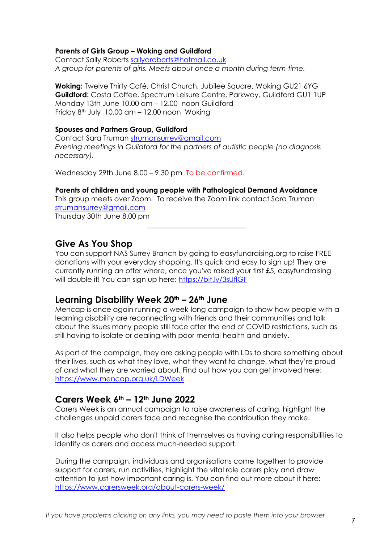### **Parents of Girls Group – Woking and Guildford**

Contact Sally Roberts sallyaroberts@hotmail.co.uk *A group for parents of girls. Meets about once a month during term-time.* 

**Woking:** Twelve Thirty Café, Christ Church, Jubilee Square, Woking GU21 6YG **Guildford:** Costa Coffee, Spectrum Leisure Centre, Parkway, Guildford GU1 1UP Monday 13th June 10.00 am – 12.00 noon Guildford Friday  $8<sup>th</sup>$  July 10.00 am  $-$  12.00 noon Woking

#### **Spouses and Partners Group, Guildford**

Contact Sara Truman strumansurrey@gmail.com *Evening meetings in Guildford for the partners of autistic people (no diagnosis necessary).* 

Wednesday 29th June 8.00 – 9.30 pm To be confirmed.

**Parents of children and young people with Pathological Demand Avoidance** This group meets over Zoom. To receive the Zoom link contact Sara Truman strumansurrey@gmail.com Thursday 30th June 8.00 pm

**Give As You Shop**

You can support NAS Surrey Branch by going to easyfundraising.org to raise FREE donations with your everyday shopping. It's quick and easy to sign up! They are currently running an offer where, once you've raised your first £5, easyfundraising will double it! You can sign up here: https://bit.ly/3sUflGF

\_\_\_\_\_\_\_\_\_\_\_\_\_\_\_\_\_\_\_\_\_\_\_\_\_\_\_\_

### **Learning Disability Week 20th – 26th June**

Mencap is once again running a week-long campaign to show how people with a learning disability are reconnecting with friends and their communities and talk about the issues many people still face after the end of COVID restrictions, such as still having to isolate or dealing with poor mental health and anxiety.

As part of the campaign, they are asking people with LDs to share something about their lives, such as what they love, what they want to change, what they're proud of and what they are worried about. Find out how you can get involved here: https://www.mencap.org.uk/LDWeek

### **Carers Week 6th – 12th June 2022**

Carers Week is an annual campaign to raise awareness of caring, highlight the challenges unpaid carers face and recognise the contribution they make.

It also helps people who don't think of themselves as having caring responsibilities to identify as carers and access much-needed support.

During the campaign, individuals and organisations come together to provide support for carers, run activities, highlight the vital role carers play and draw attention to just how important caring is. You can find out more about it here: https://www.carersweek.org/about-carers-week/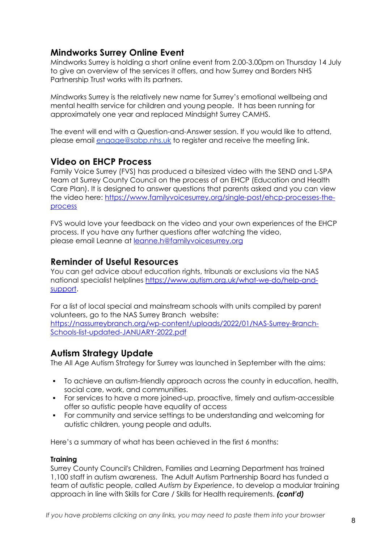# **Mindworks Surrey Online Event**

Mindworks Surrey is holding a short online event from 2.00-3.00pm on Thursday 14 July to give an overview of the services it offers, and how Surrey and Borders NHS Partnership Trust works with its partners.

Mindworks Surrey is the relatively new name for Surrey's emotional wellbeing and mental health service for children and young people. It has been running for approximately one year and replaced Mindsight Surrey CAMHS.

The event will end with a Question-and-Answer session. If you would like to attend, please email engage@sabp.nhs.uk to register and receive the meeting link.

### **Video on EHCP Process**

Family Voice Surrey (FVS) has produced a bitesized video with the SEND and L-SPA team at Surrey County Council on the process of an EHCP (Education and Health Care Plan). It is designed to answer questions that parents asked and you can view the video here: https://www.familyvoicesurrey.org/single-post/ehcp-processes-theprocess

FVS would love your feedback on the video and your own experiences of the EHCP process. If you have any further questions after watching the video, please email Leanne at leanne.h@familyvoicesurrey.org

### **Reminder of Useful Resources**

You can get advice about education rights, tribunals or exclusions via the NAS national specialist helplines https://www.autism.org.uk/what-we-do/help-andsupport.

For a list of local special and mainstream schools with units compiled by parent volunteers, go to the NAS Surrey Branch website: https://nassurreybranch.org/wp-content/uploads/2022/01/NAS-Surrey-Branch-Schools-list-updated-JANUARY-2022.pdf

# **Autism Strategy Update**

The All Age Autism Strategy for Surrey was launched in September with the aims:

- § To achieve an autism-friendly approach across the county in education, health, social care, work, and communities.
- § For services to have a more joined-up, proactive, timely and autism-accessible offer so autistic people have equality of access
- § For community and service settings to be understanding and welcoming for autistic children, young people and adults.

Here's a summary of what has been achieved in the first 6 months:

### **Training**

Surrey County Council's Children, Families and Learning Department has trained 1,100 staff in autism awareness. The Adult Autism Partnership Board has funded a team of autistic people, called *Autism by Experience*, to develop a modular training approach in line with Skills for Care / Skills for Health requirements. *(cont'd)*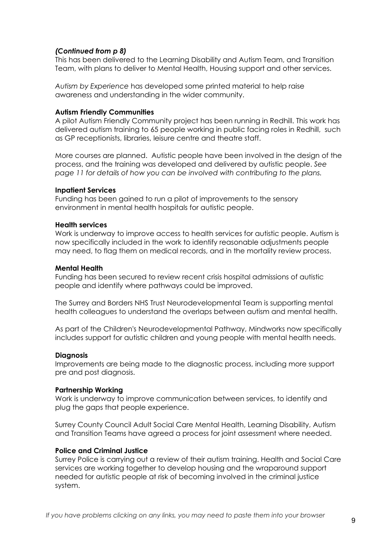### *(Continued from p 8)*

This has been delivered to the Learning Disability and Autism Team, and Transition Team, with plans to deliver to Mental Health, Housing support and other services.

*Autism by Experience* has developed some printed material to help raise awareness and understanding in the wider community.

#### **Autism Friendly Communities**

A pilot Autism Friendly Community project has been running in Redhill. This work has delivered autism training to 65 people working in public facing roles in Redhill, such as GP receptionists, libraries, leisure centre and theatre staff.

More courses are planned. Autistic people have been involved in the design of the process, and the training was developed and delivered by autistic people. *See page 11 for details of how you can be involved with contributing to the plans.*

#### **Inpatient Services**

Funding has been gained to run a pilot of improvements to the sensory environment in mental health hospitals for autistic people.

#### **Health services**

Work is underway to improve access to health services for autistic people. Autism is now specifically included in the work to identify reasonable adjustments people may need, to flag them on medical records, and in the mortality review process.

#### **Mental Health**

Funding has been secured to review recent crisis hospital admissions of autistic people and identify where pathways could be improved.

The Surrey and Borders NHS Trust Neurodevelopmental Team is supporting mental health colleagues to understand the overlaps between autism and mental health.

As part of the Children's Neurodevelopmental Pathway, Mindworks now specifically includes support for autistic children and young people with mental health needs.

#### **Diagnosis**

Improvements are being made to the diagnostic process, including more support pre and post diagnosis.

#### **Partnership Working**

Work is underway to improve communication between services, to identify and plug the gaps that people experience.

Surrey County Council Adult Social Care Mental Health, Learning Disability, Autism and Transition Teams have agreed a process for joint assessment where needed.

#### **Police and Criminal Justice**

Surrey Police is carrying out a review of their autism training. Health and Social Care services are working together to develop housing and the wraparound support needed for autistic people at risk of becoming involved in the criminal justice system.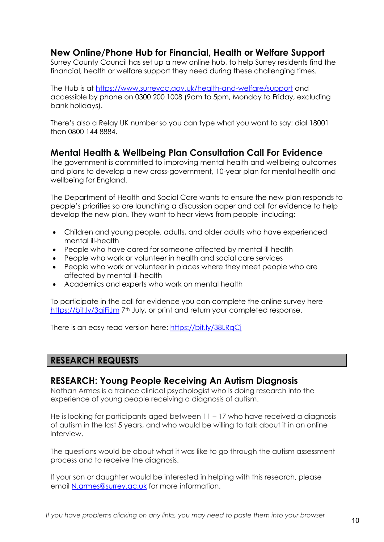# **New Online/Phone Hub for Financial, Health or Welfare Support**

Surrey County Council has set up a new online hub, to help Surrey residents find the financial, health or welfare support they need during these challenging times.

The Hub is at https://www.surreycc.gov.uk/health-and-welfare/support and accessible by phone on 0300 200 1008 (9am to 5pm, Monday to Friday, excluding bank holidays).

There's also a Relay UK number so you can type what you want to say: dial 18001 then 0800 144 8884.

### **Mental Health & Wellbeing Plan Consultation Call For Evidence**

The government is committed to improving mental health and wellbeing outcomes and plans to develop a new cross-government, 10-year plan for mental health and wellbeing for England.

The Department of Health and Social Care wants to ensure the new plan responds to people's priorities so are launching a discussion paper and call for evidence to help develop the new plan. They want to hear views from people including:

- Children and young people, adults, and older adults who have experienced mental ill-health
- People who have cared for someone affected by mental ill-health
- People who work or volunteer in health and social care services
- People who work or volunteer in places where they meet people who are affected by mental ill-health
- Academics and experts who work on mental health

To participate in the call for evidence you can complete the online survey here https://bit.ly/3ajFiJm 7<sup>th</sup> July, or print and return your completed response.

There is an easy read version here: https://bit.ly/38LRqCj

# **RESEARCH REQUESTS**

### **RESEARCH: Young People Receiving An Autism Diagnosis**

Nathan Armes is a trainee clinical psychologist who is doing research into the experience of young people receiving a diagnosis of autism.

He is looking for participants aged between 11 – 17 who have received a diagnosis of autism in the last 5 years, and who would be willing to talk about it in an online interview.

The questions would be about what it was like to go through the autism assessment process and to receive the diagnosis.

If your son or daughter would be interested in helping with this research, please email N.armes@surrey.ac.uk for more information.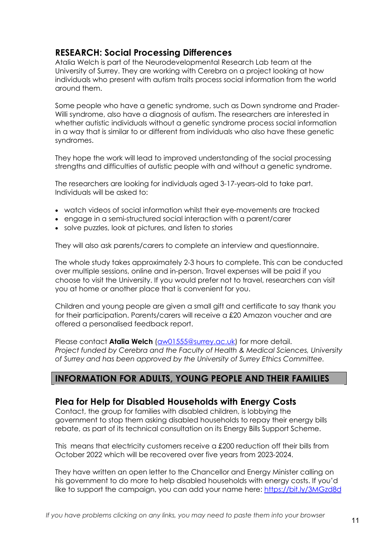# **RESEARCH: Social Processing Differences**

Atalia Welch is part of the Neurodevelopmental Research Lab team at the University of Surrey. They are working with Cerebra on a project looking at how individuals who present with autism traits process social information from the world around them.

Some people who have a genetic syndrome, such as Down syndrome and Prader-Willi syndrome, also have a diagnosis of autism. The researchers are interested in whether autistic individuals without a genetic syndrome process social information in a way that is similar to or different from individuals who also have these genetic syndromes.

They hope the work will lead to improved understanding of the social processing strengths and difficulties of autistic people with and without a genetic syndrome.

The researchers are looking for individuals aged 3-17-years-old to take part. Individuals will be asked to:

- watch videos of social information whilst their eye-movements are tracked
- engage in a semi-structured social interaction with a parent/carer
- solve puzzles, look at pictures, and listen to stories

They will also ask parents/carers to complete an interview and questionnaire.

The whole study takes approximately 2-3 hours to complete. This can be conducted over multiple sessions, online and in-person. Travel expenses will be paid if you choose to visit the University. If you would prefer not to travel, researchers can visit you at home or another place that is convenient for you.

Children and young people are given a small gift and certificate to say thank you for their participation. Parents/carers will receive a £20 Amazon voucher and are offered a personalised feedback report.

Please contact **Atalia Welch** (aw01555@surrey.ac.uk) for more detail. *Project funded by Cerebra and the Faculty of Health & Medical Sciences, University of Surrey and has been approved by the University of Surrey Ethics Committee.*

# **INFORMATION FOR ADULTS, YOUNG PEOPLE AND THEIR FAMILIES**

### **Plea for Help for Disabled Households with Energy Costs**

Contact, the group for families with disabled children, is lobbying the government to stop them asking disabled households to repay their energy bills rebate, as part of its technical consultation on its Energy Bills Support Scheme.

This means that electricity customers receive a £200 reduction off their bills from October 2022 which will be recovered over five years from 2023-2024.

They have written an open letter to the Chancellor and Energy Minister calling on his government to do more to help disabled households with energy costs. If you'd like to support the campaign, you can add your name here: https://bit.ly/3MGzd8d